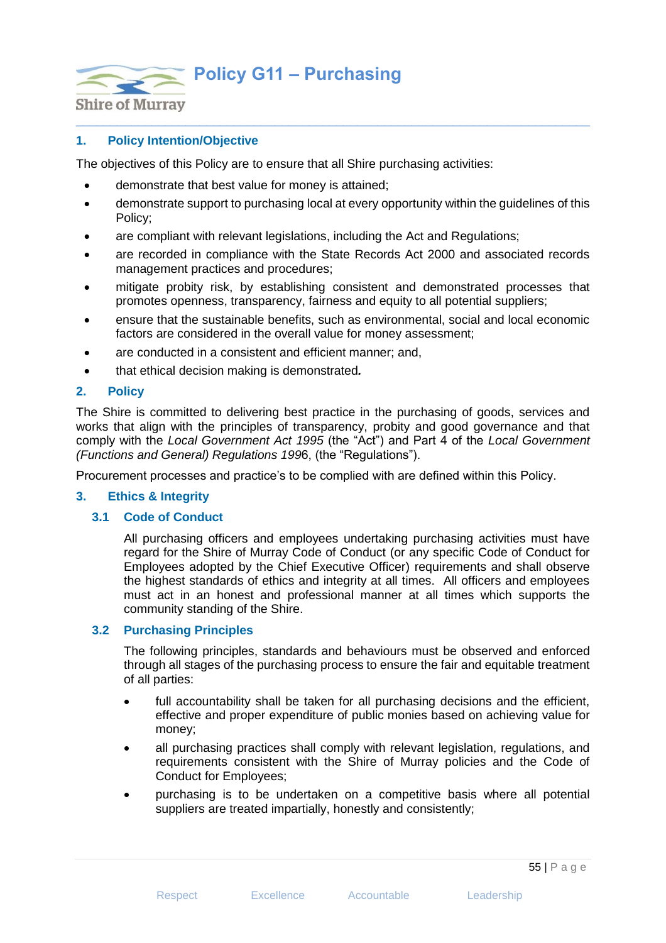**Policy G11 – Purchasing**



# **1. Policy Intention/Objective**

The objectives of this Policy are to ensure that all Shire purchasing activities:

- demonstrate that best value for money is attained;
- demonstrate support to purchasing local at every opportunity within the guidelines of this Policy;

 $\_$  , and the set of the set of the set of the set of the set of the set of the set of the set of the set of the set of the set of the set of the set of the set of the set of the set of the set of the set of the set of th

- are compliant with relevant legislations, including the Act and Regulations;
- are recorded in compliance with the State Records Act 2000 and associated records management practices and procedures;
- mitigate probity risk, by establishing consistent and demonstrated processes that promotes openness, transparency, fairness and equity to all potential suppliers;
- ensure that the sustainable benefits, such as environmental, social and local economic factors are considered in the overall value for money assessment;
- are conducted in a consistent and efficient manner; and,
- that ethical decision making is demonstrated*.*

### **2. Policy**

The Shire is committed to delivering best practice in the purchasing of goods, services and works that align with the principles of transparency, probity and good governance and that comply with the *Local Government Act 1995* (the "Act") and Part 4 of the *Local Government (Functions and General) Regulations 199*6, (the "Regulations").

Procurement processes and practice's to be complied with are defined within this Policy.

### **3. Ethics & Integrity**

### **3.1 Code of Conduct**

All purchasing officers and employees undertaking purchasing activities must have regard for the Shire of Murray Code of Conduct (or any specific Code of Conduct for Employees adopted by the Chief Executive Officer) requirements and shall observe the highest standards of ethics and integrity at all times. All officers and employees must act in an honest and professional manner at all times which supports the community standing of the Shire.

### **3.2 Purchasing Principles**

The following principles, standards and behaviours must be observed and enforced through all stages of the purchasing process to ensure the fair and equitable treatment of all parties:

- full accountability shall be taken for all purchasing decisions and the efficient, effective and proper expenditure of public monies based on achieving value for money;
- all purchasing practices shall comply with relevant legislation, regulations, and requirements consistent with the Shire of Murray policies and the Code of Conduct for Employees;
- purchasing is to be undertaken on a competitive basis where all potential suppliers are treated impartially, honestly and consistently;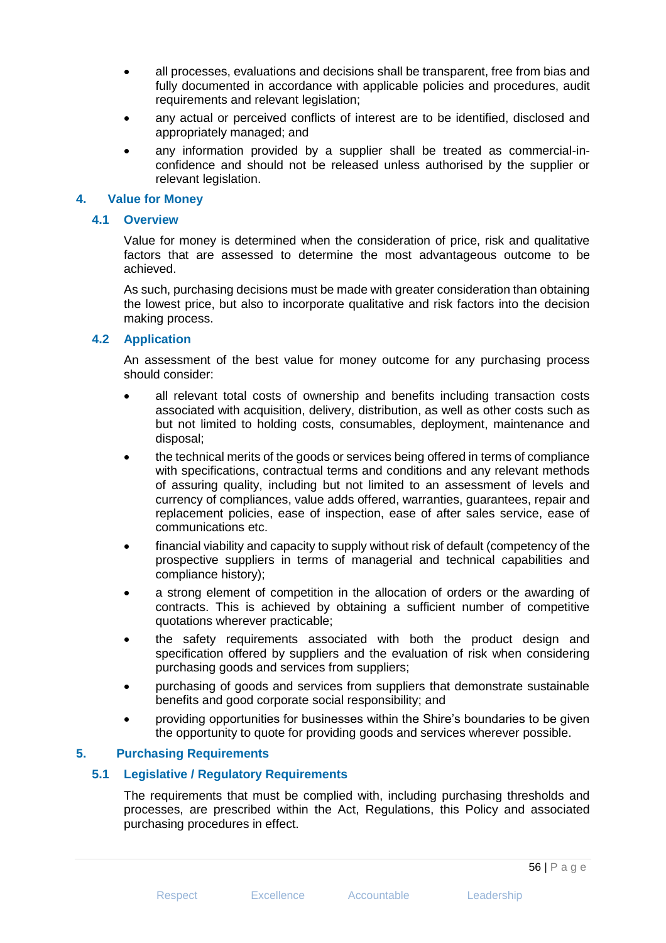- all processes, evaluations and decisions shall be transparent, free from bias and fully documented in accordance with applicable policies and procedures, audit requirements and relevant legislation;
- any actual or perceived conflicts of interest are to be identified, disclosed and appropriately managed; and
- any information provided by a supplier shall be treated as commercial-inconfidence and should not be released unless authorised by the supplier or relevant legislation.

### **4. Value for Money**

### **4.1 Overview**

Value for money is determined when the consideration of price, risk and qualitative factors that are assessed to determine the most advantageous outcome to be achieved.

As such, purchasing decisions must be made with greater consideration than obtaining the lowest price, but also to incorporate qualitative and risk factors into the decision making process.

### **4.2 Application**

An assessment of the best value for money outcome for any purchasing process should consider:

- all relevant total costs of ownership and benefits including transaction costs associated with acquisition, delivery, distribution, as well as other costs such as but not limited to holding costs, consumables, deployment, maintenance and disposal;
- the technical merits of the goods or services being offered in terms of compliance with specifications, contractual terms and conditions and any relevant methods of assuring quality, including but not limited to an assessment of levels and currency of compliances, value adds offered, warranties, guarantees, repair and replacement policies, ease of inspection, ease of after sales service, ease of communications etc.
- financial viability and capacity to supply without risk of default (competency of the prospective suppliers in terms of managerial and technical capabilities and compliance history);
- a strong element of competition in the allocation of orders or the awarding of contracts. This is achieved by obtaining a sufficient number of competitive quotations wherever practicable;
- the safety requirements associated with both the product design and specification offered by suppliers and the evaluation of risk when considering purchasing goods and services from suppliers;
- purchasing of goods and services from suppliers that demonstrate sustainable benefits and good corporate social responsibility; and
- providing opportunities for businesses within the Shire's boundaries to be given the opportunity to quote for providing goods and services wherever possible.

## **5. Purchasing Requirements**

## **5.1 Legislative / Regulatory Requirements**

The requirements that must be complied with, including purchasing thresholds and processes, are prescribed within the Act, Regulations, this Policy and associated purchasing procedures in effect.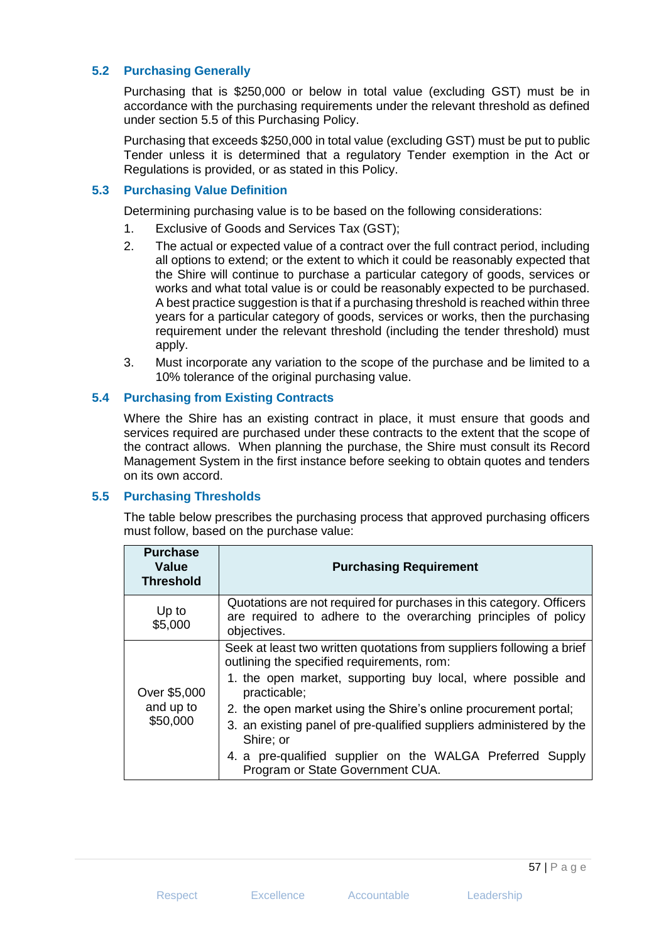## **5.2 Purchasing Generally**

Purchasing that is \$250,000 or below in total value (excluding GST) must be in accordance with the purchasing requirements under the relevant threshold as defined under section 5.5 of this Purchasing Policy.

Purchasing that exceeds \$250,000 in total value (excluding GST) must be put to public Tender unless it is determined that a regulatory Tender exemption in the Act or Regulations is provided, or as stated in this Policy.

## **5.3 Purchasing Value Definition**

Determining purchasing value is to be based on the following considerations:

- 1. Exclusive of Goods and Services Tax (GST);
- 2. The actual or expected value of a contract over the full contract period, including all options to extend; or the extent to which it could be reasonably expected that the Shire will continue to purchase a particular category of goods, services or works and what total value is or could be reasonably expected to be purchased. A best practice suggestion is that if a purchasing threshold is reached within three years for a particular category of goods, services or works, then the purchasing requirement under the relevant threshold (including the tender threshold) must apply.
- 3. Must incorporate any variation to the scope of the purchase and be limited to a 10% tolerance of the original purchasing value.

# **5.4 Purchasing from Existing Contracts**

Where the Shire has an existing contract in place, it must ensure that goods and services required are purchased under these contracts to the extent that the scope of the contract allows. When planning the purchase, the Shire must consult its Record Management System in the first instance before seeking to obtain quotes and tenders on its own accord.

## **5.5 Purchasing Thresholds**

The table below prescribes the purchasing process that approved purchasing officers must follow, based on the purchase value:

| <b>Purchase</b><br><b>Value</b><br><b>Threshold</b> | <b>Purchasing Requirement</b>                                                                                                                                                                                                                                                                                                                                                                                                                               |  |
|-----------------------------------------------------|-------------------------------------------------------------------------------------------------------------------------------------------------------------------------------------------------------------------------------------------------------------------------------------------------------------------------------------------------------------------------------------------------------------------------------------------------------------|--|
| Up to<br>\$5,000                                    | Quotations are not required for purchases in this category. Officers<br>are required to adhere to the overarching principles of policy<br>objectives.                                                                                                                                                                                                                                                                                                       |  |
| Over \$5,000<br>and up to<br>\$50,000               | Seek at least two written quotations from suppliers following a brief<br>outlining the specified requirements, rom:<br>1. the open market, supporting buy local, where possible and<br>practicable;<br>2. the open market using the Shire's online procurement portal;<br>3. an existing panel of pre-qualified suppliers administered by the<br>Shire; or<br>4. a pre-qualified supplier on the WALGA Preferred Supply<br>Program or State Government CUA. |  |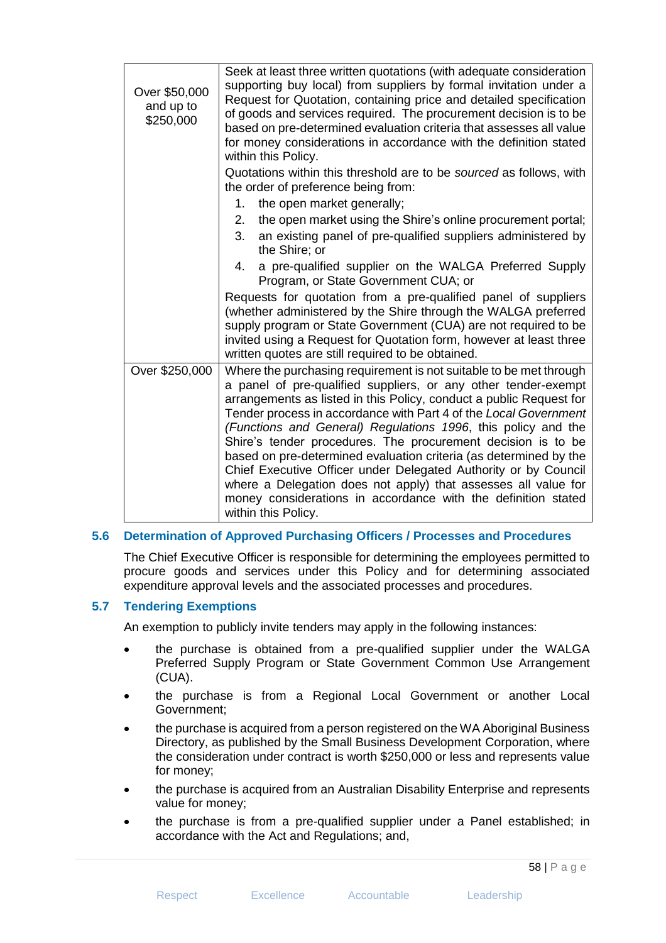| Over \$50,000<br>and up to<br>\$250,000 | Seek at least three written quotations (with adequate consideration<br>supporting buy local) from suppliers by formal invitation under a<br>Request for Quotation, containing price and detailed specification<br>of goods and services required. The procurement decision is to be<br>based on pre-determined evaluation criteria that assesses all value<br>for money considerations in accordance with the definition stated<br>within this Policy.<br>Quotations within this threshold are to be sourced as follows, with<br>the order of preference being from:<br>the open market generally;<br>1.<br>2.<br>the open market using the Shire's online procurement portal;<br>3.<br>an existing panel of pre-qualified suppliers administered by<br>the Shire; or<br>a pre-qualified supplier on the WALGA Preferred Supply<br>4.<br>Program, or State Government CUA; or<br>Requests for quotation from a pre-qualified panel of suppliers<br>(whether administered by the Shire through the WALGA preferred<br>supply program or State Government (CUA) are not required to be<br>invited using a Request for Quotation form, however at least three |  |  |  |
|-----------------------------------------|------------------------------------------------------------------------------------------------------------------------------------------------------------------------------------------------------------------------------------------------------------------------------------------------------------------------------------------------------------------------------------------------------------------------------------------------------------------------------------------------------------------------------------------------------------------------------------------------------------------------------------------------------------------------------------------------------------------------------------------------------------------------------------------------------------------------------------------------------------------------------------------------------------------------------------------------------------------------------------------------------------------------------------------------------------------------------------------------------------------------------------------------------------|--|--|--|
|                                         | written quotes are still required to be obtained.                                                                                                                                                                                                                                                                                                                                                                                                                                                                                                                                                                                                                                                                                                                                                                                                                                                                                                                                                                                                                                                                                                          |  |  |  |
| Over \$250,000                          | Where the purchasing requirement is not suitable to be met through<br>a panel of pre-qualified suppliers, or any other tender-exempt<br>arrangements as listed in this Policy, conduct a public Request for<br>Tender process in accordance with Part 4 of the Local Government<br>(Functions and General) Regulations 1996, this policy and the<br>Shire's tender procedures. The procurement decision is to be<br>based on pre-determined evaluation criteria (as determined by the<br>Chief Executive Officer under Delegated Authority or by Council<br>where a Delegation does not apply) that assesses all value for<br>money considerations in accordance with the definition stated<br>within this Policy.                                                                                                                                                                                                                                                                                                                                                                                                                                         |  |  |  |

## **5.6 Determination of Approved Purchasing Officers / Processes and Procedures**

The Chief Executive Officer is responsible for determining the employees permitted to procure goods and services under this Policy and for determining associated expenditure approval levels and the associated processes and procedures.

### **5.7 Tendering Exemptions**

An exemption to publicly invite tenders may apply in the following instances:

- the purchase is obtained from a pre-qualified supplier under the WALGA Preferred Supply Program or State Government Common Use Arrangement (CUA).
- the purchase is from a Regional Local Government or another Local Government;
- the purchase is acquired from a person registered on the WA Aboriginal Business Directory, as published by the Small Business Development Corporation, where the consideration under contract is worth \$250,000 or less and represents value for money;
- the purchase is acquired from an Australian Disability Enterprise and represents value for money;
- the purchase is from a pre-qualified supplier under a Panel established; in accordance with the Act and Regulations; and,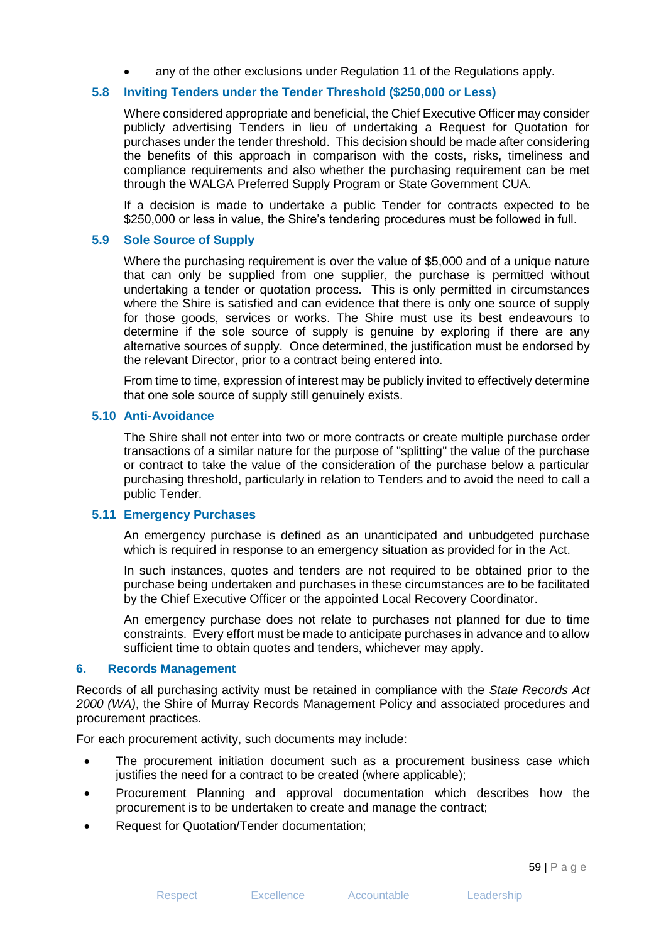any of the other exclusions under Regulation 11 of the Regulations apply.

## **5.8 Inviting Tenders under the Tender Threshold (\$250,000 or Less)**

Where considered appropriate and beneficial, the Chief Executive Officer may consider publicly advertising Tenders in lieu of undertaking a Request for Quotation for purchases under the tender threshold. This decision should be made after considering the benefits of this approach in comparison with the costs, risks, timeliness and compliance requirements and also whether the purchasing requirement can be met through the WALGA Preferred Supply Program or State Government CUA.

If a decision is made to undertake a public Tender for contracts expected to be \$250,000 or less in value, the Shire's tendering procedures must be followed in full.

### **5.9 Sole Source of Supply**

Where the purchasing requirement is over the value of \$5,000 and of a unique nature that can only be supplied from one supplier, the purchase is permitted without undertaking a tender or quotation process. This is only permitted in circumstances where the Shire is satisfied and can evidence that there is only one source of supply for those goods, services or works. The Shire must use its best endeavours to determine if the sole source of supply is genuine by exploring if there are any alternative sources of supply. Once determined, the justification must be endorsed by the relevant Director, prior to a contract being entered into.

From time to time, expression of interest may be publicly invited to effectively determine that one sole source of supply still genuinely exists.

### **5.10 Anti-Avoidance**

The Shire shall not enter into two or more contracts or create multiple purchase order transactions of a similar nature for the purpose of "splitting" the value of the purchase or contract to take the value of the consideration of the purchase below a particular purchasing threshold, particularly in relation to Tenders and to avoid the need to call a public Tender.

### **5.11 Emergency Purchases**

An emergency purchase is defined as an unanticipated and unbudgeted purchase which is required in response to an emergency situation as provided for in the Act.

In such instances, quotes and tenders are not required to be obtained prior to the purchase being undertaken and purchases in these circumstances are to be facilitated by the Chief Executive Officer or the appointed Local Recovery Coordinator.

An emergency purchase does not relate to purchases not planned for due to time constraints. Every effort must be made to anticipate purchases in advance and to allow sufficient time to obtain quotes and tenders, whichever may apply.

### **6. Records Management**

Records of all purchasing activity must be retained in compliance with the *State Records Act 2000 (WA)*, the Shire of Murray Records Management Policy and associated procedures and procurement practices.

For each procurement activity, such documents may include:

- The procurement initiation document such as a procurement business case which justifies the need for a contract to be created (where applicable);
- Procurement Planning and approval documentation which describes how the procurement is to be undertaken to create and manage the contract;
- Request for Quotation/Tender documentation;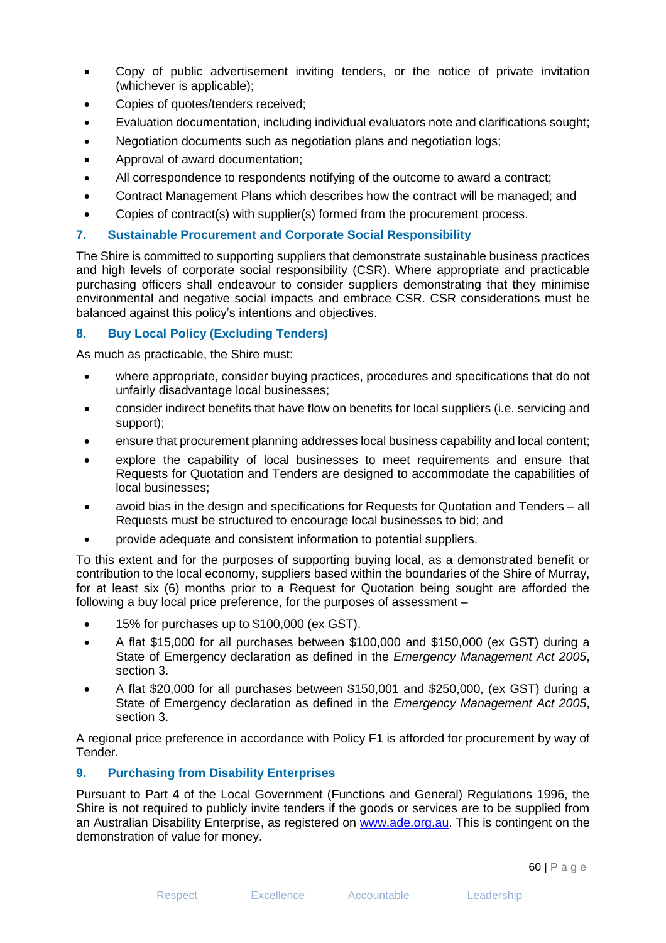- Copy of public advertisement inviting tenders, or the notice of private invitation (whichever is applicable);
- Copies of quotes/tenders received;
- Evaluation documentation, including individual evaluators note and clarifications sought;
- Negotiation documents such as negotiation plans and negotiation logs;
- Approval of award documentation;
- All correspondence to respondents notifying of the outcome to award a contract;
- Contract Management Plans which describes how the contract will be managed; and
- Copies of contract(s) with supplier(s) formed from the procurement process.

## **7. Sustainable Procurement and Corporate Social Responsibility**

The Shire is committed to supporting suppliers that demonstrate sustainable business practices and high levels of corporate social responsibility (CSR). Where appropriate and practicable purchasing officers shall endeavour to consider suppliers demonstrating that they minimise environmental and negative social impacts and embrace CSR. CSR considerations must be balanced against this policy's intentions and objectives.

# **8. Buy Local Policy (Excluding Tenders)**

As much as practicable, the Shire must:

- where appropriate, consider buying practices, procedures and specifications that do not unfairly disadvantage local businesses;
- consider indirect benefits that have flow on benefits for local suppliers (i.e. servicing and support);
- ensure that procurement planning addresses local business capability and local content;
- explore the capability of local businesses to meet requirements and ensure that Requests for Quotation and Tenders are designed to accommodate the capabilities of local businesses;
- avoid bias in the design and specifications for Requests for Quotation and Tenders all Requests must be structured to encourage local businesses to bid; and
- provide adequate and consistent information to potential suppliers.

To this extent and for the purposes of supporting buying local, as a demonstrated benefit or contribution to the local economy, suppliers based within the boundaries of the Shire of Murray, for at least six (6) months prior to a Request for Quotation being sought are afforded the following a buy local price preference, for the purposes of assessment –

- 15% for purchases up to \$100,000 (ex GST).
- A flat \$15,000 for all purchases between \$100,000 and \$150,000 (ex GST) during a State of Emergency declaration as defined in the *Emergency Management Act 2005*, section 3.
- A flat \$20,000 for all purchases between \$150,001 and \$250,000, (ex GST) during a State of Emergency declaration as defined in the *Emergency Management Act 2005*, section 3.

A regional price preference in accordance with Policy F1 is afforded for procurement by way of Tender.

## **9. Purchasing from Disability Enterprises**

Pursuant to Part 4 of the Local Government (Functions and General) Regulations 1996, the Shire is not required to publicly invite tenders if the goods or services are to be supplied from an Australian Disability Enterprise, as registered on [www.ade.org.au.](http://www.ade.org.au/) This is contingent on the demonstration of value for money.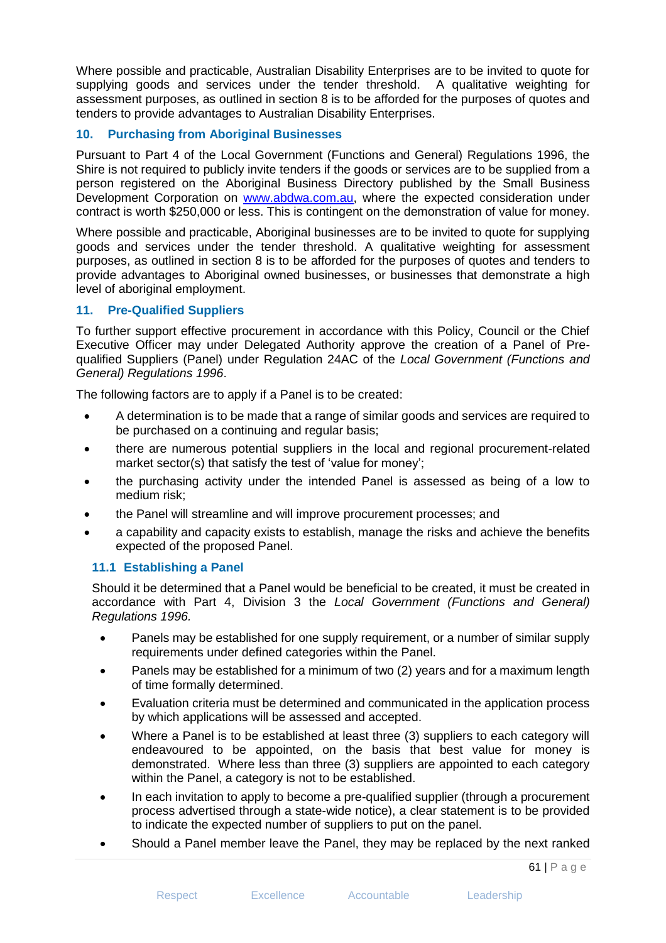Where possible and practicable, Australian Disability Enterprises are to be invited to quote for supplying goods and services under the tender threshold. A qualitative weighting for assessment purposes, as outlined in section 8 is to be afforded for the purposes of quotes and tenders to provide advantages to Australian Disability Enterprises.

# **10. Purchasing from Aboriginal Businesses**

Pursuant to Part 4 of the Local Government (Functions and General) Regulations 1996, the Shire is not required to publicly invite tenders if the goods or services are to be supplied from a person registered on the Aboriginal Business Directory published by the Small Business Development Corporation on [www.abdwa.com.au,](http://www.abdwa.com.au/) where the expected consideration under contract is worth \$250,000 or less. This is contingent on the demonstration of value for money.

Where possible and practicable, Aboriginal businesses are to be invited to quote for supplying goods and services under the tender threshold. A qualitative weighting for assessment purposes, as outlined in section 8 is to be afforded for the purposes of quotes and tenders to provide advantages to Aboriginal owned businesses, or businesses that demonstrate a high level of aboriginal employment.

## **11. Pre-Qualified Suppliers**

To further support effective procurement in accordance with this Policy, Council or the Chief Executive Officer may under Delegated Authority approve the creation of a Panel of Prequalified Suppliers (Panel) under Regulation 24AC of the *Local Government (Functions and General) Regulations 1996*.

The following factors are to apply if a Panel is to be created:

- A determination is to be made that a range of similar goods and services are required to be purchased on a continuing and regular basis;
- there are numerous potential suppliers in the local and regional procurement-related market sector(s) that satisfy the test of 'value for money';
- the purchasing activity under the intended Panel is assessed as being of a low to medium risk;
- the Panel will streamline and will improve procurement processes; and
- a capability and capacity exists to establish, manage the risks and achieve the benefits expected of the proposed Panel.

## **11.1 Establishing a Panel**

Should it be determined that a Panel would be beneficial to be created, it must be created in accordance with Part 4, Division 3 the *Local Government (Functions and General) Regulations 1996.*

- Panels may be established for one supply requirement, or a number of similar supply requirements under defined categories within the Panel.
- Panels may be established for a minimum of two (2) years and for a maximum length of time formally determined.
- Evaluation criteria must be determined and communicated in the application process by which applications will be assessed and accepted.
- Where a Panel is to be established at least three (3) suppliers to each category will endeavoured to be appointed, on the basis that best value for money is demonstrated. Where less than three (3) suppliers are appointed to each category within the Panel, a category is not to be established.
- In each invitation to apply to become a pre-qualified supplier (through a procurement process advertised through a state-wide notice), a clear statement is to be provided to indicate the expected number of suppliers to put on the panel.
- Should a Panel member leave the Panel, they may be replaced by the next ranked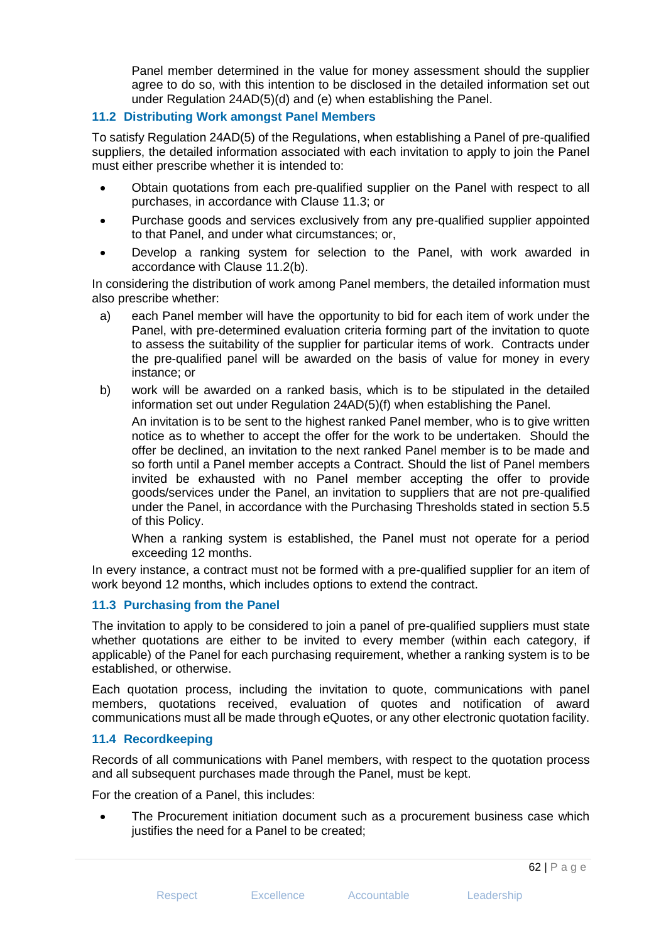Panel member determined in the value for money assessment should the supplier agree to do so, with this intention to be disclosed in the detailed information set out under Regulation 24AD(5)(d) and (e) when establishing the Panel.

## **11.2 Distributing Work amongst Panel Members**

To satisfy Regulation 24AD(5) of the Regulations, when establishing a Panel of pre-qualified suppliers, the detailed information associated with each invitation to apply to join the Panel must either prescribe whether it is intended to:

- Obtain quotations from each pre-qualified supplier on the Panel with respect to all purchases, in accordance with Clause 11.3; or
- Purchase goods and services exclusively from any pre-qualified supplier appointed to that Panel, and under what circumstances; or,
- Develop a ranking system for selection to the Panel, with work awarded in accordance with Clause 11.2(b).

In considering the distribution of work among Panel members, the detailed information must also prescribe whether:

- a) each Panel member will have the opportunity to bid for each item of work under the Panel, with pre-determined evaluation criteria forming part of the invitation to quote to assess the suitability of the supplier for particular items of work. Contracts under the pre-qualified panel will be awarded on the basis of value for money in every instance; or
- b) work will be awarded on a ranked basis, which is to be stipulated in the detailed information set out under Regulation 24AD(5)(f) when establishing the Panel.

An invitation is to be sent to the highest ranked Panel member, who is to give written notice as to whether to accept the offer for the work to be undertaken. Should the offer be declined, an invitation to the next ranked Panel member is to be made and so forth until a Panel member accepts a Contract. Should the list of Panel members invited be exhausted with no Panel member accepting the offer to provide goods/services under the Panel, an invitation to suppliers that are not pre-qualified under the Panel, in accordance with the Purchasing Thresholds stated in section 5.5 of this Policy.

When a ranking system is established, the Panel must not operate for a period exceeding 12 months.

In every instance, a contract must not be formed with a pre-qualified supplier for an item of work beyond 12 months, which includes options to extend the contract.

# **11.3 Purchasing from the Panel**

The invitation to apply to be considered to join a panel of pre-qualified suppliers must state whether quotations are either to be invited to every member (within each category, if applicable) of the Panel for each purchasing requirement, whether a ranking system is to be established, or otherwise.

Each quotation process, including the invitation to quote, communications with panel members, quotations received, evaluation of quotes and notification of award communications must all be made through eQuotes, or any other electronic quotation facility.

## **11.4 Recordkeeping**

Records of all communications with Panel members, with respect to the quotation process and all subsequent purchases made through the Panel, must be kept.

For the creation of a Panel, this includes:

• The Procurement initiation document such as a procurement business case which justifies the need for a Panel to be created;